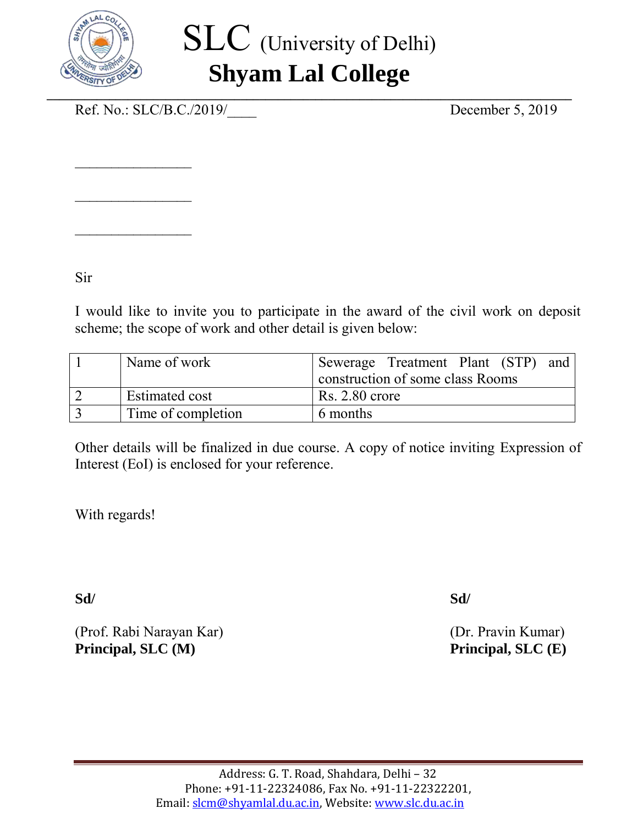

## SLC (University of Delhi) **Shyam Lal College**

Ref. No.: SLC/B.C./2019/ December 5, 2019

 $\overline{\phantom{a}}$  , where  $\overline{\phantom{a}}$ 

 $\overline{\phantom{a}}$  , where  $\overline{\phantom{a}}$ 

 $\overline{\phantom{a}}$  , where  $\overline{\phantom{a}}$ 

Sir

I would like to invite you to participate in the award of the civil work on deposit scheme; the scope of work and other detail is given below:

| Name of work       | Sewerage Treatment Plant (STP)<br>and |
|--------------------|---------------------------------------|
|                    | construction of some class Rooms      |
| Estimated cost     | $Rs. 2.80$ crore                      |
| Time of completion | 6 months                              |

Other details will be finalized in due course. A copy of notice inviting Expression of Interest (EoI) is enclosed for your reference.

With regards!

**Sd/ Sd/**

(Prof. Rabi Narayan Kar) (Dr. Pravin Kumar) **Principal, SLC (M)** Principal, SLC (E)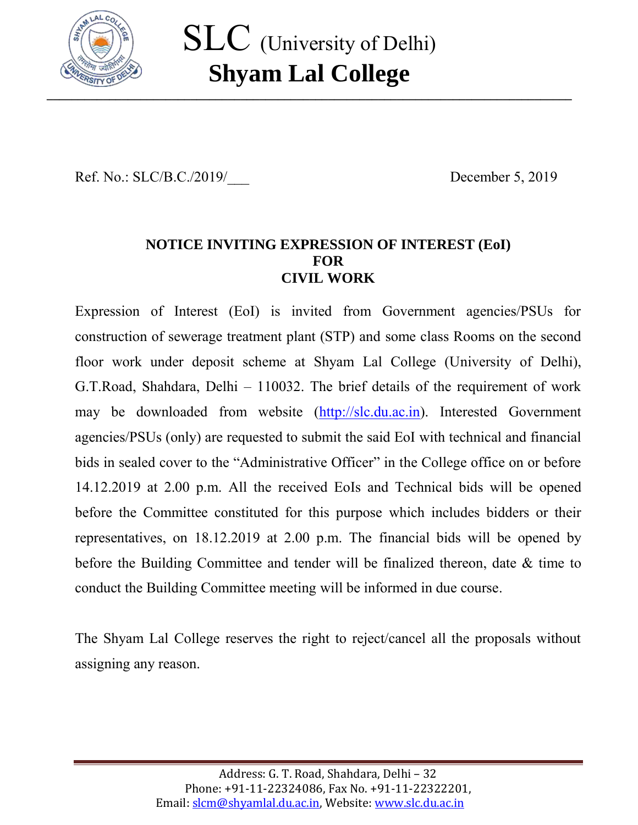

Ref. No.: SLC/B.C./2019/ December 5, 2019

## **NOTICE INVITING EXPRESSION OF INTEREST (EoI) FOR CIVIL WORK**

Expression of Interest (EoI) is invited from Government agencies/PSUs for construction of sewerage treatment plant (STP) and some class Rooms on the second floor work under deposit scheme at Shyam Lal College (University of Delhi), G.T.Road, Shahdara, Delhi – 110032. The brief details of the requirement of work may be downloaded from website [\(http://slc.du.ac.in\)](http://slc.du.ac.in/). Interested Government agencies/PSUs (only) are requested to submit the said EoI with technical and financial bids in sealed cover to the "Administrative Officer" in the College office on or before 14.12.2019 at 2.00 p.m. All the received EoIs and Technical bids will be opened before the Committee constituted for this purpose which includes bidders or their representatives, on 18.12.2019 at 2.00 p.m. The financial bids will be opened by before the Building Committee and tender will be finalized thereon, date & time to conduct the Building Committee meeting will be informed in due course.

The Shyam Lal College reserves the right to reject/cancel all the proposals without assigning any reason.